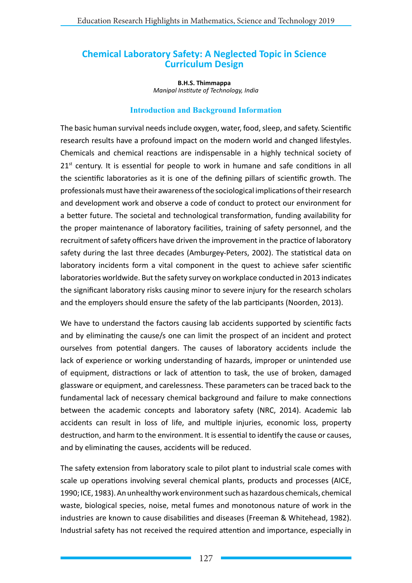# **Chemical Laboratory Safety: A Neglected Topic in Science Curriculum Design**

**B.H.S. Thimmappa** *Manipal Institute of Technology, India*

### **Introduction and Background Information**

The basic human survival needs include oxygen, water, food, sleep, and safety. Scientific research results have a profound impact on the modern world and changed lifestyles. Chemicals and chemical reactions are indispensable in a highly technical society of  $21<sup>st</sup>$  century. It is essential for people to work in humane and safe conditions in all the scientific laboratories as it is one of the defining pillars of scientific growth. The professionals must have their awareness of the sociological implications of their research and development work and observe a code of conduct to protect our environment for a better future. The societal and technological transformation, funding availability for the proper maintenance of laboratory facilities, training of safety personnel, and the recruitment of safety officers have driven the improvement in the practice of laboratory safety during the last three decades (Amburgey-Peters, 2002). The statistical data on laboratory incidents form a vital component in the quest to achieve safer scientific laboratories worldwide. But the safety survey on workplace conducted in 2013 indicates the significant laboratory risks causing minor to severe injury for the research scholars and the employers should ensure the safety of the lab participants (Noorden, 2013).

We have to understand the factors causing lab accidents supported by scientific facts and by eliminating the cause/s one can limit the prospect of an incident and protect ourselves from potential dangers. The causes of laboratory accidents include the lack of experience or working understanding of hazards, improper or unintended use of equipment, distractions or lack of attention to task, the use of broken, damaged glassware or equipment, and carelessness. These parameters can be traced back to the fundamental lack of necessary chemical background and failure to make connections between the academic concepts and laboratory safety (NRC, 2014). Academic lab accidents can result in loss of life, and multiple injuries, economic loss, property destruction, and harm to the environment. It is essential to identify the cause or causes, and by eliminating the causes, accidents will be reduced.

The safety extension from laboratory scale to pilot plant to industrial scale comes with scale up operations involving several chemical plants, products and processes (AICE, 1990; ICE, 1983). An unhealthy work environment such as hazardous chemicals, chemical waste, biological species, noise, metal fumes and monotonous nature of work in the industries are known to cause disabilities and diseases (Freeman & Whitehead, 1982). Industrial safety has not received the required attention and importance, especially in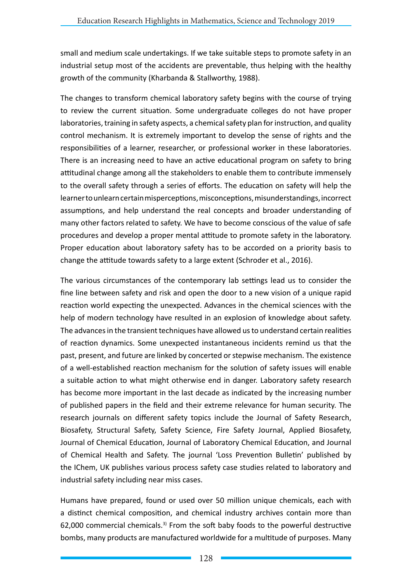small and medium scale undertakings. If we take suitable steps to promote safety in an industrial setup most of the accidents are preventable, thus helping with the healthy growth of the community (Kharbanda & Stallworthy, 1988).

The changes to transform chemical laboratory safety begins with the course of trying to review the current situation. Some undergraduate colleges do not have proper laboratories, training in safety aspects, a chemical safety plan for instruction, and quality control mechanism. It is extremely important to develop the sense of rights and the responsibilities of a learner, researcher, or professional worker in these laboratories. There is an increasing need to have an active educational program on safety to bring attitudinal change among all the stakeholders to enable them to contribute immensely to the overall safety through a series of efforts. The education on safety will help the learner to unlearn certain misperceptions, misconceptions, misunderstandings, incorrect assumptions, and help understand the real concepts and broader understanding of many other factors related to safety. We have to become conscious of the value of safe procedures and develop a proper mental attitude to promote safety in the laboratory. Proper education about laboratory safety has to be accorded on a priority basis to change the attitude towards safety to a large extent (Schroder et al., 2016).

The various circumstances of the contemporary lab settings lead us to consider the fine line between safety and risk and open the door to a new vision of a unique rapid reaction world expecting the unexpected. Advances in the chemical sciences with the help of modern technology have resulted in an explosion of knowledge about safety. The advances in the transient techniques have allowed us to understand certain realities of reaction dynamics. Some unexpected instantaneous incidents remind us that the past, present, and future are linked by concerted or stepwise mechanism. The existence of a well-established reaction mechanism for the solution of safety issues will enable a suitable action to what might otherwise end in danger. Laboratory safety research has become more important in the last decade as indicated by the increasing number of published papers in the field and their extreme relevance for human security. The research journals on different safety topics include the Journal of Safety Research, Biosafety, Structural Safety, Safety Science, Fire Safety Journal, Applied Biosafety, Journal of Chemical Education, Journal of Laboratory Chemical Education, and Journal of Chemical Health and Safety. The journal 'Loss Prevention Bulletin' published by the IChem, UK publishes various process safety case studies related to laboratory and industrial safety including near miss cases.

Humans have prepared, found or used over 50 million unique chemicals, each with a distinct chemical composition, and chemical industry archives contain more than 62,000 commercial chemicals.<sup>3)</sup> From the soft baby foods to the powerful destructive bombs, many products are manufactured worldwide for a multitude of purposes. Many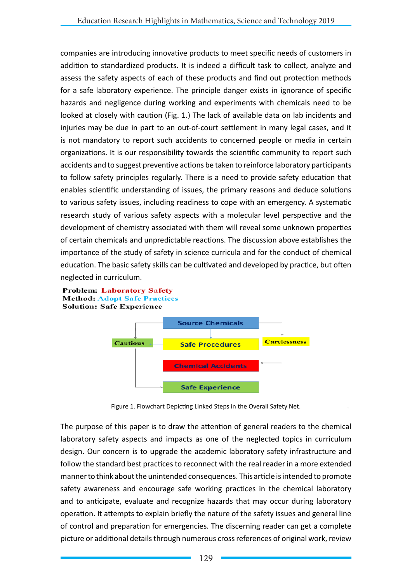companies are introducing innovative products to meet specific needs of customers in addition to standardized products. It is indeed a difficult task to collect, analyze and assess the safety aspects of each of these products and find out protection methods for a safe laboratory experience. The principle danger exists in ignorance of specific hazards and negligence during working and experiments with chemicals need to be looked at closely with caution (Fig. 1.) The lack of available data on lab incidents and injuries may be due in part to an out-of-court settlement in many legal cases, and it is not mandatory to report such accidents to concerned people or media in certain organizations. It is our responsibility towards the scientific community to report such accidents and to suggest preventive actions be taken to reinforce laboratory participants to follow safety principles regularly. There is a need to provide safety education that enables scientific understanding of issues, the primary reasons and deduce solutions to various safety issues, including readiness to cope with an emergency. A systematic research study of various safety aspects with a molecular level perspective and the development of chemistry associated with them will reveal some unknown properties of certain chemicals and unpredictable reactions. The discussion above establishes the importance of the study of safety in science curricula and for the conduct of chemical education. The basic safety skills can be cultivated and developed by practice, but often neglected in curriculum.





Figure 1. Flowchart Depicting Linked Steps in the Overall Safety Net.

The purpose of this paper is to draw the attention of general readers to the chemical laboratory safety aspects and impacts as one of the neglected topics in curriculum design. Our concern is to upgrade the academic laboratory safety infrastructure and follow the standard best practices to reconnect with the real reader in a more extended manner to think about the unintended consequences. This article is intended to promote safety awareness and encourage safe working practices in the chemical laboratory and to anticipate, evaluate and recognize hazards that may occur during laboratory operation. It attempts to explain briefly the nature of the safety issues and general line of control and preparation for emergencies. The discerning reader can get a complete picture or additional details through numerous cross references of original work, review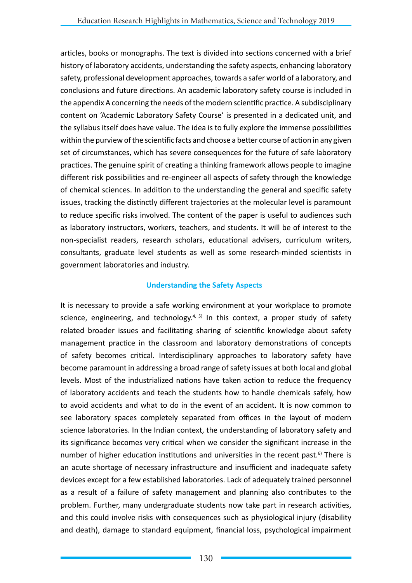articles, books or monographs. The text is divided into sections concerned with a brief history of laboratory accidents, understanding the safety aspects, enhancing laboratory safety, professional development approaches, towards a safer world of a laboratory, and conclusions and future directions. An academic laboratory safety course is included in the appendix A concerning the needs of the modern scientific practice. A subdisciplinary content on 'Academic Laboratory Safety Course' is presented in a dedicated unit, and the syllabus itself does have value. The idea is to fully explore the immense possibilities within the purview of the scientific facts and choose a better course of action in any given set of circumstances, which has severe consequences for the future of safe laboratory practices. The genuine spirit of creating a thinking framework allows people to imagine different risk possibilities and re-engineer all aspects of safety through the knowledge of chemical sciences. In addition to the understanding the general and specific safety issues, tracking the distinctly different trajectories at the molecular level is paramount to reduce specific risks involved. The content of the paper is useful to audiences such as laboratory instructors, workers, teachers, and students. It will be of interest to the non-specialist readers, research scholars, educational advisers, curriculum writers, consultants, graduate level students as well as some research-minded scientists in government laboratories and industry.

## **Understanding the Safety Aspects**

It is necessary to provide a safe working environment at your workplace to promote science, engineering, and technology.<sup>4, 5)</sup> In this context, a proper study of safety related broader issues and facilitating sharing of scientific knowledge about safety management practice in the classroom and laboratory demonstrations of concepts of safety becomes critical. Interdisciplinary approaches to laboratory safety have become paramount in addressing a broad range of safety issues at both local and global levels. Most of the industrialized nations have taken action to reduce the frequency of laboratory accidents and teach the students how to handle chemicals safely, how to avoid accidents and what to do in the event of an accident. It is now common to see laboratory spaces completely separated from offices in the layout of modern science laboratories. In the Indian context, the understanding of laboratory safety and its significance becomes very critical when we consider the significant increase in the number of higher education institutions and universities in the recent past.<sup>6)</sup> There is an acute shortage of necessary infrastructure and insufficient and inadequate safety devices except for a few established laboratories. Lack of adequately trained personnel as a result of a failure of safety management and planning also contributes to the problem. Further, many undergraduate students now take part in research activities, and this could involve risks with consequences such as physiological injury (disability and death), damage to standard equipment, financial loss, psychological impairment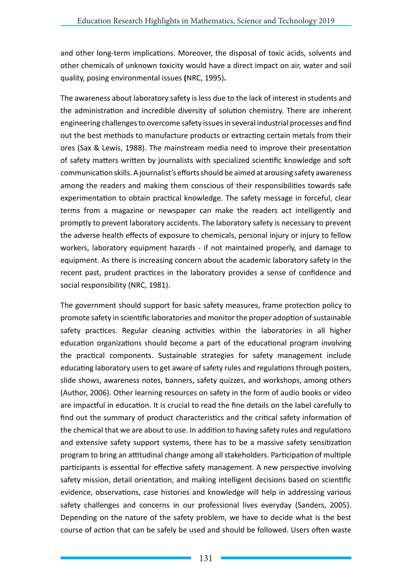and other long-term implications. Moreover, the disposal of toxic acids, solvents and other chemicals of unknown toxicity would have a direct impact on air, water and soil quality, posing environmental issues **(**NRC, 1995)**.**

The awareness about laboratory safety is less due to the lack of interest in students and the administration and incredible diversity of solution chemistry. There are inherent engineering challenges to overcome safety issues in several industrial processes and find out the best methods to manufacture products or extracting certain metals from their ores (Sax & Lewis, 1988). The mainstream media need to improve their presentation of safety matters written by journalists with specialized scientific knowledge and soft communication skills. A journalist's efforts should be aimed at arousing safety awareness among the readers and making them conscious of their responsibilities towards safe experimentation to obtain practical knowledge. The safety message in forceful, clear terms from a magazine or newspaper can make the readers act intelligently and promptly to prevent laboratory accidents. The laboratory safety is necessary to prevent the adverse health effects of exposure to chemicals, personal injury or injury to fellow workers, laboratory equipment hazards - if not maintained properly, and damage to equipment. As there is increasing concern about the academic laboratory safety in the recent past, prudent practices in the laboratory provides a sense of confidence and social responsibility (NRC, 1981).

The government should support for basic safety measures, frame protection policy to promote safety in scientific laboratories and monitor the proper adoption of sustainable safety practices. Regular cleaning activities within the laboratories in all higher education organizations should become a part of the educational program involving the practical components. Sustainable strategies for safety management include educating laboratory users to get aware of safety rules and regulations through posters, slide shows, awareness notes, banners, safety quizzes, and workshops, among others (Author, 2006). Other learning resources on safety in the form of audio books or video are impactful in education. It is crucial to read the fine details on the label carefully to find out the summary of product characteristics and the critical safety information of the chemical that we are about to use. In addition to having safety rules and regulations and extensive safety support systems, there has to be a massive safety sensitization program to bring an attitudinal change among all stakeholders. Participation of multiple participants is essential for effective safety management. A new perspective involving safety mission, detail orientation, and making intelligent decisions based on scientific evidence, observations, case histories and knowledge will help in addressing various safety challenges and concerns in our professional lives everyday (Sanders, 2005). Depending on the nature of the safety problem, we have to decide what is the best course of action that can be safely be used and should be followed. Users often waste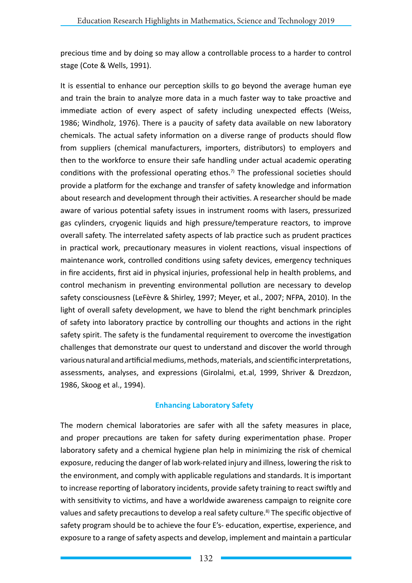precious time and by doing so may allow a controllable process to a harder to control stage (Cote & Wells, 1991).

It is essential to enhance our perception skills to go beyond the average human eye and train the brain to analyze more data in a much faster way to take proactive and immediate action of every aspect of safety including unexpected effects (Weiss, 1986; Windholz, 1976). There is a paucity of safety data available on new laboratory chemicals. The actual safety information on a diverse range of products should flow from suppliers (chemical manufacturers, importers, distributors) to employers and then to the workforce to ensure their safe handling under actual academic operating conditions with the professional operating ethos.<sup>7)</sup> The professional societies should provide a platform for the exchange and transfer of safety knowledge and information about research and development through their activities. A researcher should be made aware of various potential safety issues in instrument rooms with lasers, pressurized gas cylinders, cryogenic liquids and high pressure/temperature reactors, to improve overall safety. The interrelated safety aspects of lab practice such as prudent practices in practical work, precautionary measures in violent reactions, visual inspections of maintenance work, controlled conditions using safety devices, emergency techniques in fire accidents, first aid in physical injuries, professional help in health problems, and control mechanism in preventing environmental pollution are necessary to develop safety consciousness (LeFèvre & Shirley, 1997; Meyer, et al., 2007; NFPA, 2010). In the light of overall safety development, we have to blend the right benchmark principles of safety into laboratory practice by controlling our thoughts and actions in the right safety spirit. The safety is the fundamental requirement to overcome the investigation challenges that demonstrate our quest to understand and discover the world through various natural and artificial mediums, methods, materials, and scientific interpretations, assessments, analyses, and expressions (Girolalmi, et.al, 1999, Shriver & Drezdzon, 1986, Skoog et al., 1994).

## **Enhancing Laboratory Safety**

The modern chemical laboratories are safer with all the safety measures in place, and proper precautions are taken for safety during experimentation phase. Proper laboratory safety and a chemical hygiene plan help in minimizing the risk of chemical exposure, reducing the danger of lab work-related injury and illness, lowering the risk to the environment, and comply with applicable regulations and standards. It is important to increase reporting of laboratory incidents, provide safety training to react swiftly and with sensitivity to victims, and have a worldwide awareness campaign to reignite core values and safety precautions to develop a real safety culture.<sup>8)</sup> The specific objective of safety program should be to achieve the four E's- education, expertise, experience, and exposure to a range of safety aspects and develop, implement and maintain a particular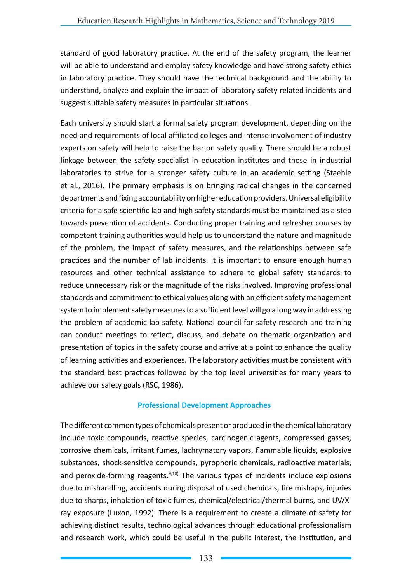standard of good laboratory practice. At the end of the safety program, the learner will be able to understand and employ safety knowledge and have strong safety ethics in laboratory practice. They should have the technical background and the ability to understand, analyze and explain the impact of laboratory safety-related incidents and suggest suitable safety measures in particular situations.

Each university should start a formal safety program development, depending on the need and requirements of local affiliated colleges and intense involvement of industry experts on safety will help to raise the bar on safety quality. There should be a robust linkage between the safety specialist in education institutes and those in industrial laboratories to strive for a stronger safety culture in an academic setting (Staehle et al., 2016). The primary emphasis is on bringing radical changes in the concerned departments and fixing accountability on higher education providers. Universal eligibility criteria for a safe scientific lab and high safety standards must be maintained as a step towards prevention of accidents. Conducting proper training and refresher courses by competent training authorities would help us to understand the nature and magnitude of the problem, the impact of safety measures, and the relationships between safe practices and the number of lab incidents. It is important to ensure enough human resources and other technical assistance to adhere to global safety standards to reduce unnecessary risk or the magnitude of the risks involved. Improving professional standards and commitment to ethical values along with an efficient safety management system to implement safety measures to a sufficient level will go a long way in addressing the problem of academic lab safety. National council for safety research and training can conduct meetings to reflect, discuss, and debate on thematic organization and presentation of topics in the safety course and arrive at a point to enhance the quality of learning activities and experiences. The laboratory activities must be consistent with the standard best practices followed by the top level universities for many years to achieve our safety goals (RSC, 1986).

## **Professional Development Approaches**

The different common types of chemicals present or produced in the chemical laboratory include toxic compounds, reactive species, carcinogenic agents, compressed gasses, corrosive chemicals, irritant fumes, lachrymatory vapors, flammable liquids, explosive substances, shock-sensitive compounds, pyrophoric chemicals, radioactive materials, and peroxide-forming reagents. $9,10)$  The various types of incidents include explosions due to mishandling, accidents during disposal of used chemicals, fire mishaps, injuries due to sharps, inhalation of toxic fumes, chemical/electrical/thermal burns, and UV/Xray exposure (Luxon, 1992). There is a requirement to create a climate of safety for achieving distinct results, technological advances through educational professionalism and research work, which could be useful in the public interest, the institution, and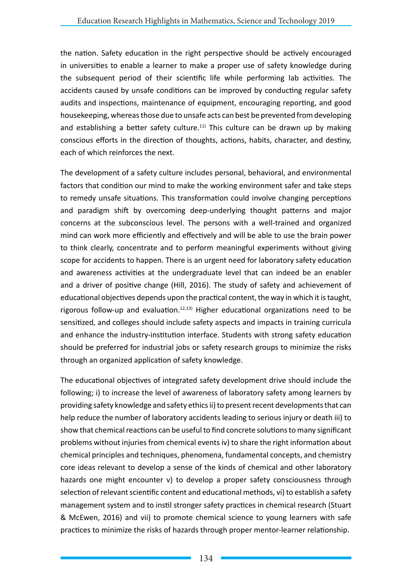the nation. Safety education in the right perspective should be actively encouraged in universities to enable a learner to make a proper use of safety knowledge during the subsequent period of their scientific life while performing lab activities. The accidents caused by unsafe conditions can be improved by conducting regular safety audits and inspections, maintenance of equipment, encouraging reporting, and good housekeeping, whereas those due to unsafe acts can best be prevented from developing and establishing a better safety culture.<sup>11)</sup> This culture can be drawn up by making conscious efforts in the direction of thoughts, actions, habits, character, and destiny, each of which reinforces the next.

The development of a safety culture includes personal, behavioral, and environmental factors that condition our mind to make the working environment safer and take steps to remedy unsafe situations. This transformation could involve changing perceptions and paradigm shift by overcoming deep-underlying thought patterns and major concerns at the subconscious level. The persons with a well-trained and organized mind can work more efficiently and effectively and will be able to use the brain power to think clearly, concentrate and to perform meaningful experiments without giving scope for accidents to happen. There is an urgent need for laboratory safety education and awareness activities at the undergraduate level that can indeed be an enabler and a driver of positive change (Hill, 2016). The study of safety and achievement of educational objectives depends upon the practical content, the way in which it is taught, rigorous follow-up and evaluation.<sup>12,13)</sup> Higher educational organizations need to be sensitized, and colleges should include safety aspects and impacts in training curricula and enhance the industry-institution interface. Students with strong safety education should be preferred for industrial jobs or safety research groups to minimize the risks through an organized application of safety knowledge.

The educational objectives of integrated safety development drive should include the following; i) to increase the level of awareness of laboratory safety among learners by providing safety knowledge and safety ethics ii) to present recent developments that can help reduce the number of laboratory accidents leading to serious injury or death iii) to show that chemical reactions can be useful to find concrete solutions to many significant problems without injuries from chemical events iv) to share the right information about chemical principles and techniques, phenomena, fundamental concepts, and chemistry core ideas relevant to develop a sense of the kinds of chemical and other laboratory hazards one might encounter v) to develop a proper safety consciousness through selection of relevant scientific content and educational methods, vi) to establish a safety management system and to instil stronger safety practices in chemical research (Stuart & McEwen, 2016) and vii) to promote chemical science to young learners with safe practices to minimize the risks of hazards through proper mentor-learner relationship.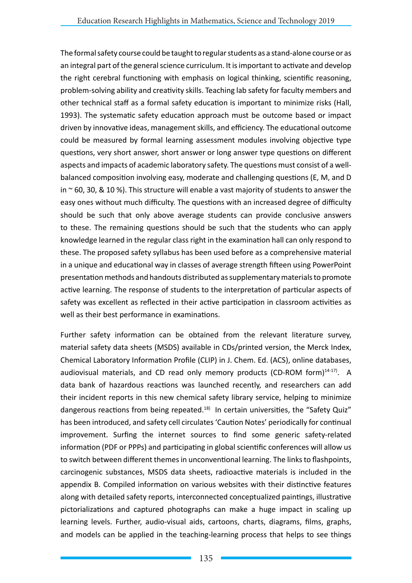The formal safety course could be taught to regular students as a stand-alone course or as an integral part of the general science curriculum. It is important to activate and develop the right cerebral functioning with emphasis on logical thinking, scientific reasoning, problem-solving ability and creativity skills. Teaching lab safety for faculty members and other technical staff as a formal safety education is important to minimize risks (Hall, 1993). The systematic safety education approach must be outcome based or impact driven by innovative ideas, management skills, and efficiency. The educational outcome could be measured by formal learning assessment modules involving objective type questions, very short answer, short answer or long answer type questions on different aspects and impacts of academic laboratory safety. The questions must consist of a wellbalanced composition involving easy, moderate and challenging questions (E, M, and D in  $\sim$  60, 30, & 10 %). This structure will enable a vast majority of students to answer the easy ones without much difficulty. The questions with an increased degree of difficulty should be such that only above average students can provide conclusive answers to these. The remaining questions should be such that the students who can apply knowledge learned in the regular class right in the examination hall can only respond to these. The proposed safety syllabus has been used before as a comprehensive material in a unique and educational way in classes of average strength fifteen using PowerPoint presentation methods and handouts distributed as supplementary materials to promote active learning. The response of students to the interpretation of particular aspects of safety was excellent as reflected in their active participation in classroom activities as well as their best performance in examinations.

Further safety information can be obtained from the relevant literature survey, material safety data sheets (MSDS) available in CDs/printed version, the Merck Index, Chemical Laboratory Information Profile (CLIP) in J. Chem. Ed. (ACS), online databases, audiovisual materials, and CD read only memory products (CD-ROM form)<sup>14-17)</sup>. A data bank of hazardous reactions was launched recently, and researchers can add their incident reports in this new chemical safety library service, helping to minimize dangerous reactions from being repeated.<sup>18)</sup> In certain universities, the "Safety Quiz" has been introduced, and safety cell circulates 'Caution Notes' periodically for continual improvement. Surfing the internet sources to find some generic safety-related information (PDF or PPPs) and participating in global scientific conferences will allow us to switch between different themes in unconventional learning. The links to flashpoints, carcinogenic substances, MSDS data sheets, radioactive materials is included in the appendix B. Compiled information on various websites with their distinctive features along with detailed safety reports, interconnected conceptualized paintings, illustrative pictorializations and captured photographs can make a huge impact in scaling up learning levels. Further, audio-visual aids, cartoons, charts, diagrams, films, graphs, and models can be applied in the teaching-learning process that helps to see things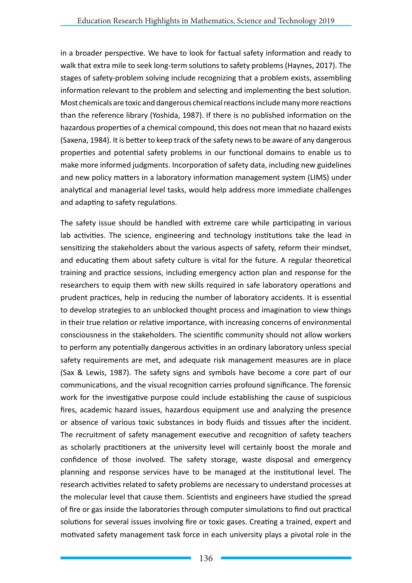in a broader perspective. We have to look for factual safety information and ready to walk that extra mile to seek long-term solutions to safety problems (Haynes, 2017). The stages of safety-problem solving include recognizing that a problem exists, assembling information relevant to the problem and selecting and implementing the best solution. Most chemicals are toxic and dangerous chemical reactions include many more reactions than the reference library (Yoshida, 1987). If there is no published information on the hazardous properties of a chemical compound, this does not mean that no hazard exists (Saxena, 1984). It is better to keep track of the safety news to be aware of any dangerous properties and potential safety problems in our functional domains to enable us to make more informed judgments. Incorporation of safety data, including new guidelines and new policy matters in a laboratory information management system (LIMS) under analytical and managerial level tasks, would help address more immediate challenges and adapting to safety regulations.

The safety issue should be handled with extreme care while participating in various lab activities. The science, engineering and technology institutions take the lead in sensitizing the stakeholders about the various aspects of safety, reform their mindset, and educating them about safety culture is vital for the future. A regular theoretical training and practice sessions, including emergency action plan and response for the researchers to equip them with new skills required in safe laboratory operations and prudent practices, help in reducing the number of laboratory accidents. It is essential to develop strategies to an unblocked thought process and imagination to view things in their true relation or relative importance, with increasing concerns of environmental consciousness in the stakeholders. The scientific community should not allow workers to perform any potentially dangerous activities in an ordinary laboratory unless special safety requirements are met, and adequate risk management measures are in place (Sax & Lewis, 1987). The safety signs and symbols have become a core part of our communications, and the visual recognition carries profound significance. The forensic work for the investigative purpose could include establishing the cause of suspicious fires, academic hazard issues, hazardous equipment use and analyzing the presence or absence of various toxic substances in body fluids and tissues after the incident. The recruitment of safety management executive and recognition of safety teachers as scholarly practitioners at the university level will certainly boost the morale and confidence of those involved. The safety storage, waste disposal and emergency planning and response services have to be managed at the institutional level. The research activities related to safety problems are necessary to understand processes at the molecular level that cause them. Scientists and engineers have studied the spread of fire or gas inside the laboratories through computer simulations to find out practical solutions for several issues involving fire or toxic gases. Creating a trained, expert and motivated safety management task force in each university plays a pivotal role in the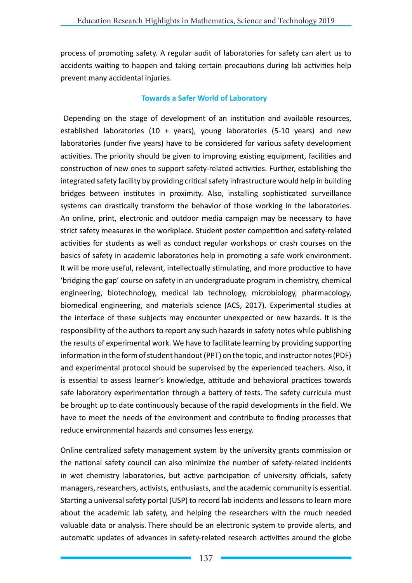process of promoting safety. A regular audit of laboratories for safety can alert us to accidents waiting to happen and taking certain precautions during lab activities help prevent many accidental injuries.

### **Towards a Safer World of Laboratory**

Depending on the stage of development of an institution and available resources, established laboratories (10 + years), young laboratories (5-10 years) and new laboratories (under five years) have to be considered for various safety development activities. The priority should be given to improving existing equipment, facilities and construction of new ones to support safety-related activities. Further, establishing the integrated safety facility by providing critical safety infrastructure would help in building bridges between institutes in proximity. Also, installing sophisticated surveillance systems can drastically transform the behavior of those working in the laboratories. An online, print, electronic and outdoor media campaign may be necessary to have strict safety measures in the workplace. Student poster competition and safety-related activities for students as well as conduct regular workshops or crash courses on the basics of safety in academic laboratories help in promoting a safe work environment. It will be more useful, relevant, intellectually stimulating, and more productive to have 'bridging the gap' course on safety in an undergraduate program in chemistry, chemical engineering, biotechnology, medical lab technology, microbiology, pharmacology, biomedical engineering, and materials science (ACS, 2017). Experimental studies at the interface of these subjects may encounter unexpected or new hazards. It is the responsibility of the authors to report any such hazards in safety notes while publishing the results of experimental work. We have to facilitate learning by providing supporting information in the form of student handout (PPT) on the topic, and instructor notes (PDF) and experimental protocol should be supervised by the experienced teachers. Also, it is essential to assess learner's knowledge, attitude and behavioral practices towards safe laboratory experimentation through a battery of tests. The safety curricula must be brought up to date continuously because of the rapid developments in the field. We have to meet the needs of the environment and contribute to finding processes that reduce environmental hazards and consumes less energy.

Online centralized safety management system by the university grants commission or the national safety council can also minimize the number of safety-related incidents in wet chemistry laboratories, but active participation of university officials, safety managers, researchers, activists, enthusiasts, and the academic community is essential. Starting a universal safety portal (USP) to record lab incidents and lessons to learn more about the academic lab safety, and helping the researchers with the much needed valuable data or analysis. There should be an electronic system to provide alerts, and automatic updates of advances in safety-related research activities around the globe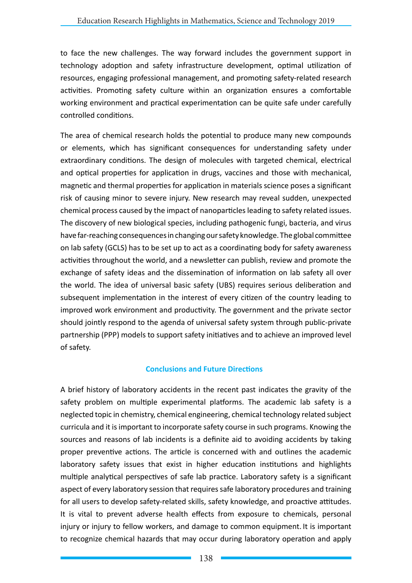to face the new challenges. The way forward includes the government support in technology adoption and safety infrastructure development, optimal utilization of resources, engaging professional management, and promoting safety-related research activities. Promoting safety culture within an organization ensures a comfortable working environment and practical experimentation can be quite safe under carefully controlled conditions.

The area of chemical research holds the potential to produce many new compounds or elements, which has significant consequences for understanding safety under extraordinary conditions. The design of molecules with targeted chemical, electrical and optical properties for application in drugs, vaccines and those with mechanical, magnetic and thermal properties for application in materials science poses a significant risk of causing minor to severe injury. New research may reveal sudden, unexpected chemical process caused by the impact of nanoparticles leading to safety related issues. The discovery of new biological species, including pathogenic fungi, bacteria, and virus have far-reaching consequences in changing our safety knowledge. The global committee on lab safety (GCLS) has to be set up to act as a coordinating body for safety awareness activities throughout the world, and a newsletter can publish, review and promote the exchange of safety ideas and the dissemination of information on lab safety all over the world. The idea of universal basic safety (UBS) requires serious deliberation and subsequent implementation in the interest of every citizen of the country leading to improved work environment and productivity. The government and the private sector should jointly respond to the agenda of universal safety system through public-private partnership (PPP) models to support safety initiatives and to achieve an improved level of safety.

## **Conclusions and Future Directions**

A brief history of laboratory accidents in the recent past indicates the gravity of the safety problem on multiple experimental platforms. The academic lab safety is a neglected topic in chemistry, chemical engineering, chemical technology related subject curricula and it is important to incorporate safety course in such programs. Knowing the sources and reasons of lab incidents is a definite aid to avoiding accidents by taking proper preventive actions. The article is concerned with and outlines the academic laboratory safety issues that exist in higher education institutions and highlights multiple analytical perspectives of safe lab practice. Laboratory safety is a significant aspect of every laboratory session that requires safe laboratory procedures and training for all users to develop safety-related skills, safety knowledge, and proactive attitudes. It is vital to prevent adverse health effects from exposure to chemicals, personal injury or injury to fellow workers, and damage to common equipment. It is important to recognize chemical hazards that may occur during laboratory operation and apply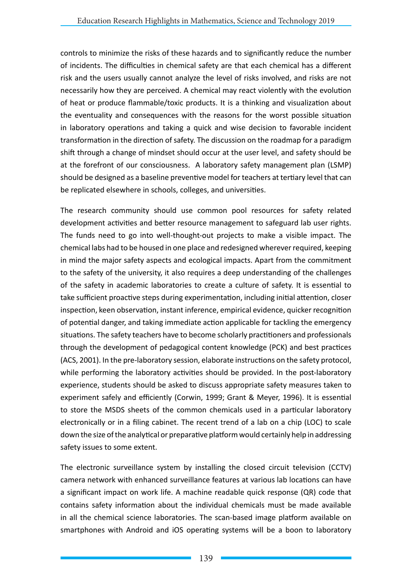controls to minimize the risks of these hazards and to significantly reduce the number of incidents. The difficulties in chemical safety are that each chemical has a different risk and the users usually cannot analyze the level of risks involved, and risks are not necessarily how they are perceived. A chemical may react violently with the evolution of heat or produce flammable/toxic products. It is a thinking and visualization about the eventuality and consequences with the reasons for the worst possible situation in laboratory operations and taking a quick and wise decision to favorable incident transformation in the direction of safety. The discussion on the roadmap for a paradigm shift through a change of mindset should occur at the user level, and safety should be at the forefront of our consciousness. A laboratory safety management plan (LSMP) should be designed as a baseline preventive model for teachers at tertiary level that can be replicated elsewhere in schools, colleges, and universities.

The research community should use common pool resources for safety related development activities and better resource management to safeguard lab user rights. The funds need to go into well-thought-out projects to make a visible impact. The chemical labs had to be housed in one place and redesigned wherever required, keeping in mind the major safety aspects and ecological impacts. Apart from the commitment to the safety of the university, it also requires a deep understanding of the challenges of the safety in academic laboratories to create a culture of safety. It is essential to take sufficient proactive steps during experimentation, including initial attention, closer inspection, keen observation, instant inference, empirical evidence, quicker recognition of potential danger, and taking immediate action applicable for tackling the emergency situations. The safety teachers have to become scholarly practitioners and professionals through the development of pedagogical content knowledge (PCK) and best practices (ACS, 2001). In the pre-laboratory session, elaborate instructions on the safety protocol, while performing the laboratory activities should be provided. In the post-laboratory experience, students should be asked to discuss appropriate safety measures taken to experiment safely and efficiently (Corwin, 1999; Grant & Meyer, 1996). It is essential to store the MSDS sheets of the common chemicals used in a particular laboratory electronically or in a filing cabinet. The recent trend of a lab on a chip (LOC) to scale down the size of the analytical or preparative platform would certainly help in addressing safety issues to some extent.

The electronic surveillance system by installing the closed circuit television (CCTV) camera network with enhanced surveillance features at various lab locations can have a significant impact on work life. A machine readable quick response (QR) code that contains safety information about the individual chemicals must be made available in all the chemical science laboratories. The scan-based image platform available on smartphones with Android and iOS operating systems will be a boon to laboratory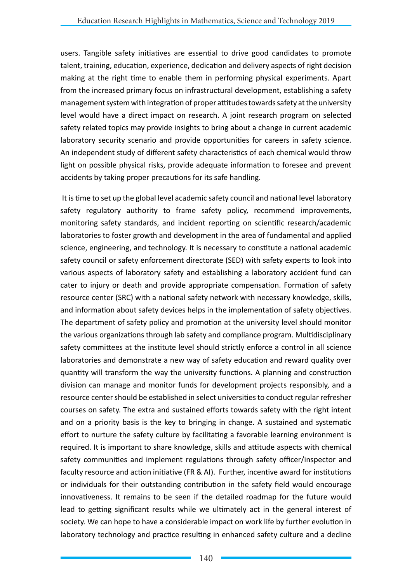users. Tangible safety initiatives are essential to drive good candidates to promote talent, training, education, experience, dedication and delivery aspects of right decision making at the right time to enable them in performing physical experiments. Apart from the increased primary focus on infrastructural development, establishing a safety management system with integration of proper attitudes towards safety at the university level would have a direct impact on research. A joint research program on selected safety related topics may provide insights to bring about a change in current academic laboratory security scenario and provide opportunities for careers in safety science. An independent study of different safety characteristics of each chemical would throw light on possible physical risks, provide adequate information to foresee and prevent accidents by taking proper precautions for its safe handling.

 It is time to set up the global level academic safety council and national level laboratory safety regulatory authority to frame safety policy, recommend improvements, monitoring safety standards, and incident reporting on scientific research/academic laboratories to foster growth and development in the area of fundamental and applied science, engineering, and technology. It is necessary to constitute a national academic safety council or safety enforcement directorate (SED) with safety experts to look into various aspects of laboratory safety and establishing a laboratory accident fund can cater to injury or death and provide appropriate compensation. Formation of safety resource center (SRC) with a national safety network with necessary knowledge, skills, and information about safety devices helps in the implementation of safety objectives. The department of safety policy and promotion at the university level should monitor the various organizations through lab safety and compliance program. Multidisciplinary safety committees at the institute level should strictly enforce a control in all science laboratories and demonstrate a new way of safety education and reward quality over quantity will transform the way the university functions. A planning and construction division can manage and monitor funds for development projects responsibly, and a resource center should be established in select universities to conduct regular refresher courses on safety. The extra and sustained efforts towards safety with the right intent and on a priority basis is the key to bringing in change. A sustained and systematic effort to nurture the safety culture by facilitating a favorable learning environment is required. It is important to share knowledge, skills and attitude aspects with chemical safety communities and implement regulations through safety officer/inspector and faculty resource and action initiative (FR & AI). Further, incentive award for institutions or individuals for their outstanding contribution in the safety field would encourage innovativeness. It remains to be seen if the detailed roadmap for the future would lead to getting significant results while we ultimately act in the general interest of society. We can hope to have a considerable impact on work life by further evolution in laboratory technology and practice resulting in enhanced safety culture and a decline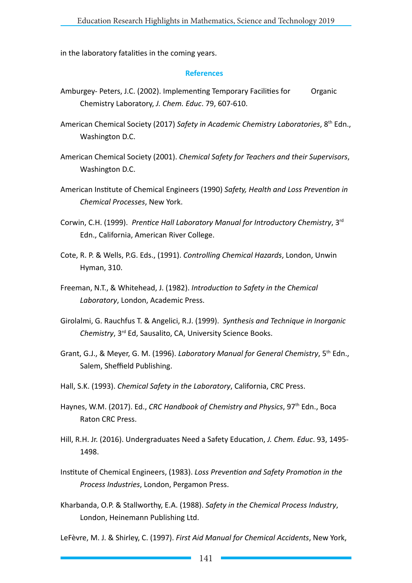in the laboratory fatalities in the coming years.

#### **References**

- Amburgey- Peters, J.C. (2002). Implementing Temporary Facilities for Organic Chemistry Laboratory, *J. Chem. Educ*. 79, 607-610.
- American Chemical Society (2017) *Safety in Academic Chemistry Laboratories*, 8th Edn., Washington D.C.
- American Chemical Society (2001). *Chemical Safety for Teachers and their Supervisors*, Washington D.C.
- American Institute of Chemical Engineers (1990) *Safety, Health and Loss Prevention in Chemical Processes*, New York.
- Corwin, C.H. (1999). *Prentice Hall Laboratory Manual for Introductory Chemistry*, 3rd Edn., California, American River College.
- Cote, R. P. & Wells, P.G. Eds., (1991). *Controlling Chemical Hazards*, London, Unwin Hyman, 310.
- Freeman, N.T., & Whitehead, J. (1982). *Introduction to Safety in the Chemical Laboratory*, London, Academic Press.
- Girolalmi, G. Rauchfus T. & Angelici, R.J. (1999). *Synthesis and Technique in Inorganic Chemistry*, 3rd Ed, Sausalito, CA, University Science Books.
- Grant, G.J., & Meyer, G. M. (1996). *Laboratory Manual for General Chemistry*, 5th Edn., Salem, Sheffield Publishing.
- Hall, S.K. (1993). *Chemical Safety in the Laboratory*, California, CRC Press.
- Haynes, W.M. (2017). Ed., *CRC Handbook of Chemistry and Physics*, 97th Edn., Boca Raton CRC Press.
- Hill, R.H. Jr. (2016). Undergraduates Need a Safety Education, *J. Chem. Educ*. 93, 1495- 1498.
- Institute of Chemical Engineers, (1983). *Loss Prevention and Safety Promotion in the Process Industries*, London, Pergamon Press.
- Kharbanda, O.P. & Stallworthy, E.A. (1988). *Safety in the Chemical Process Industry*, London, Heinemann Publishing Ltd.
- LeFèvre, M. J. & Shirley, C. (1997). *First Aid Manual for Chemical Accidents*, New York,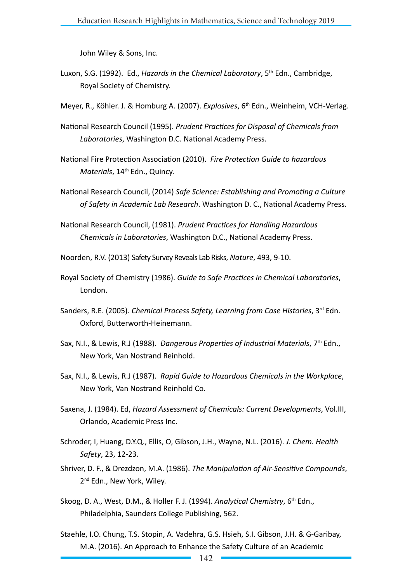John Wiley & Sons, Inc.

- Luxon, S.G. (1992). Ed., *Hazards in the Chemical Laboratory*, 5th Edn., Cambridge, Royal Society of Chemistry.
- Meyer, R., Köhler. J. & Homburg A. (2007). *Explosives*, 6th Edn., Weinheim, VCH-Verlag.
- National Research Council (1995). *Prudent Practices for Disposal of Chemicals from Laboratories*, Washington D.C. National Academy Press.
- National Fire Protection Association (2010). *Fire Protection Guide to hazardous Materials*, 14<sup>th</sup> Edn., Quincy.
- National Research Council, (2014) *Safe Science: Establishing and Promoting a Culture of Safety in Academic Lab Research*. Washington D. C., National Academy Press.
- National Research Council, (1981). *Prudent Practices for Handling Hazardous Chemicals in Laboratories*, Washington D.C., National Academy Press.

Noorden, R.V. (2013) Safety Survey Reveals Lab Risks, *Nature*, 493, 9-10.

- Royal Society of Chemistry (1986). *Guide to Safe Practices in Chemical Laboratories*, London.
- Sanders, R.E. (2005). *Chemical Process Safety, Learning from Case Histories*, 3rd Edn. Oxford, Butterworth-Heinemann.
- Sax, N.I., & Lewis, R.J (1988). *Dangerous Properties of Industrial Materials*, 7th Edn., New York, Van Nostrand Reinhold.
- Sax, N.I., & Lewis, R.J (1987). *Rapid Guide to Hazardous Chemicals in the Workplace*, New York, Van Nostrand Reinhold Co.
- Saxena, J. (1984). Ed, *Hazard Assessment of Chemicals: Current Developments*, Vol.III, Orlando, Academic Press Inc.
- Schroder, I, Huang, D.Y.Q., Ellis, O, Gibson, J.H., Wayne, N.L. (2016). *J. Chem. Health Safety*, 23, 12-23.
- Shriver, D. F., & Drezdzon, M.A. (1986). *The Manipulation of Air-Sensitive Compounds*, 2<sup>nd</sup> Edn., New York, Wiley.
- Skoog, D. A., West, D.M., & Holler F. J. (1994). *Analytical Chemistry*, 6th Edn., Philadelphia, Saunders College Publishing, 562.
- Staehle, I.O. Chung, T.S. Stopin, A. Vadehra, G.S. Hsieh, S.I. Gibson, J.H. & G-Garibay, M.A. (2016). An Approach to Enhance the Safety Culture of an Academic